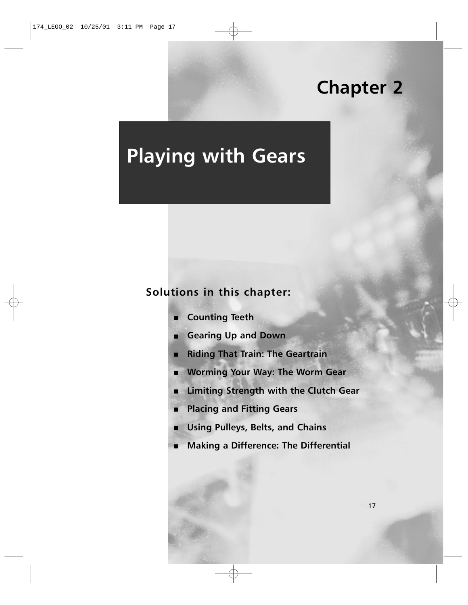## **Chapter 2**

# **Playing with Gears**

### **Solutions in this chapter:**

- **Counting Teeth**
- **Gearing Up and Down**
- **Riding That Train: The Geartrain**
- **Worming Your Way: The Worm Gear**
- **Limiting Strength with the Clutch Gear**
- **Placing and Fitting Gears**
- **Using Pulleys, Belts, and Chains**
- **Making a Difference: The Differential**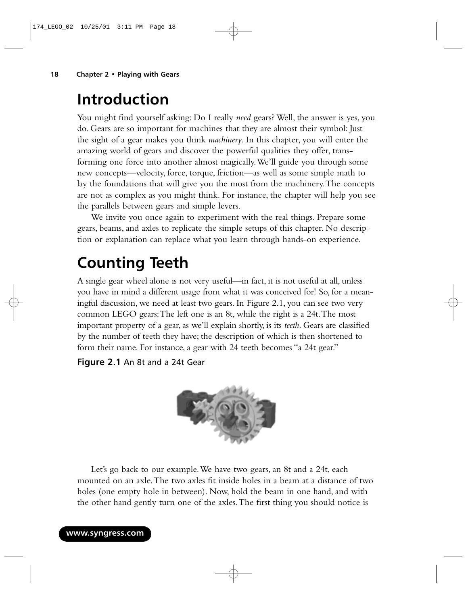## **Introduction**

You might find yourself asking: Do I really *need* gears? Well, the answer is yes, you do. Gears are so important for machines that they are almost their symbol: Just the sight of a gear makes you think *machinery*. In this chapter, you will enter the amazing world of gears and discover the powerful qualities they offer, transforming one force into another almost magically.We'll guide you through some new concepts—velocity, force, torque, friction—as well as some simple math to lay the foundations that will give you the most from the machinery.The concepts are not as complex as you might think. For instance, the chapter will help you see the parallels between gears and simple levers.

We invite you once again to experiment with the real things. Prepare some gears, beams, and axles to replicate the simple setups of this chapter. No description or explanation can replace what you learn through hands-on experience.

## **Counting Teeth**

A single gear wheel alone is not very useful—in fact, it is not useful at all, unless you have in mind a different usage from what it was conceived for! So, for a meaningful discussion, we need at least two gears. In Figure 2.1, you can see two very common LEGO gears:The left one is an 8t, while the right is a 24t.The most important property of a gear, as we'll explain shortly, is its *teeth*. Gears are classified by the number of teeth they have; the description of which is then shortened to form their name. For instance, a gear with 24 teeth becomes "a 24t gear."

#### **Figure 2.1** An 8t and a 24t Gear



Let's go back to our example.We have two gears, an 8t and a 24t, each mounted on an axle.The two axles fit inside holes in a beam at a distance of two holes (one empty hole in between). Now, hold the beam in one hand, and with the other hand gently turn one of the axles.The first thing you should notice is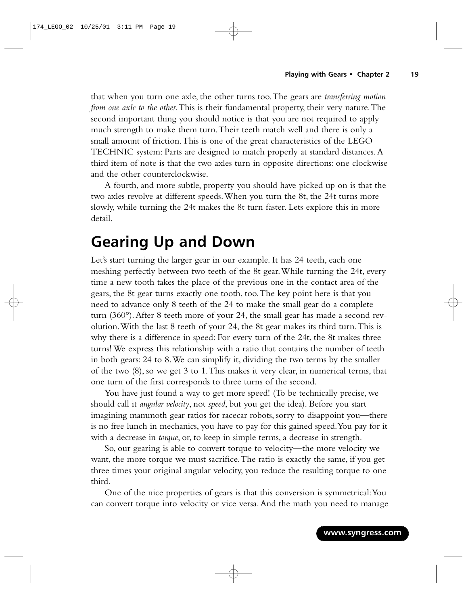that when you turn one axle, the other turns too.The gears are *transferring motion from one axle to the other*.This is their fundamental property, their very nature.The second important thing you should notice is that you are not required to apply much strength to make them turn.Their teeth match well and there is only a small amount of friction.This is one of the great characteristics of the LEGO TECHNIC system: Parts are designed to match properly at standard distances.A third item of note is that the two axles turn in opposite directions: one clockwise and the other counterclockwise.

A fourth, and more subtle, property you should have picked up on is that the two axles revolve at different speeds.When you turn the 8t, the 24t turns more slowly, while turning the 24t makes the 8t turn faster. Lets explore this in more detail.

### **Gearing Up and Down**

Let's start turning the larger gear in our example. It has 24 teeth, each one meshing perfectly between two teeth of the 8t gear.While turning the 24t, every time a new tooth takes the place of the previous one in the contact area of the gears, the 8t gear turns exactly one tooth, too.The key point here is that you need to advance only 8 teeth of the 24 to make the small gear do a complete turn (360°).After 8 teeth more of your 24, the small gear has made a second revolution.With the last 8 teeth of your 24, the 8t gear makes its third turn.This is why there is a difference in speed: For every turn of the 24t, the 8t makes three turns! We express this relationship with a ratio that contains the number of teeth in both gears: 24 to 8.We can simplify it, dividing the two terms by the smaller of the two (8), so we get 3 to 1.This makes it very clear, in numerical terms, that one turn of the first corresponds to three turns of the second.

You have just found a way to get more speed! (To be technically precise, we should call it *angular velocity*, not *speed*, but you get the idea). Before you start imagining mammoth gear ratios for racecar robots, sorry to disappoint you—there is no free lunch in mechanics, you have to pay for this gained speed.You pay for it with a decrease in *torque*, or, to keep in simple terms, a decrease in strength.

So, our gearing is able to convert torque to velocity—the more velocity we want, the more torque we must sacrifice.The ratio is exactly the same, if you get three times your original angular velocity, you reduce the resulting torque to one third.

One of the nice properties of gears is that this conversion is symmetrical:You can convert torque into velocity or vice versa.And the math you need to manage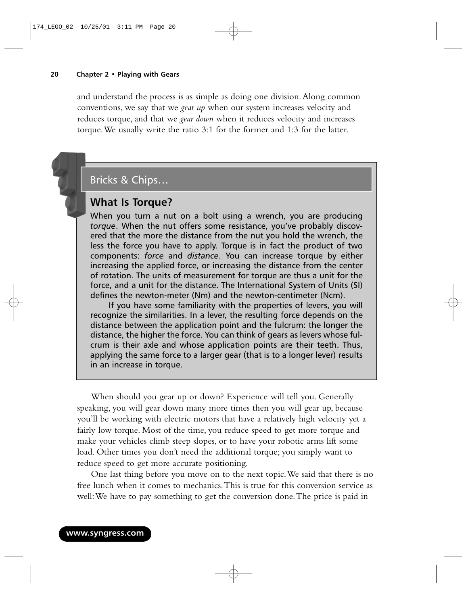and understand the process is as simple as doing one division.Along common conventions, we say that we *gear up* when our system increases velocity and reduces torque, and that we *gear down* when it reduces velocity and increases torque.We usually write the ratio 3:1 for the former and 1:3 for the latter.

### Bricks & Chips…

#### **What Is Torque?**

When you turn a nut on a bolt using a wrench, you are producing *torque*. When the nut offers some resistance, you've probably discovered that the more the distance from the nut you hold the wrench, the less the force you have to apply. Torque is in fact the product of two components: *force* and *distance*. You can increase torque by either increasing the applied force, or increasing the distance from the center of rotation. The units of measurement for torque are thus a unit for the force, and a unit for the distance. The International System of Units (SI) defines the newton-meter (Nm) and the newton-centimeter (Ncm).

If you have some familiarity with the properties of levers, you will recognize the similarities. In a lever, the resulting force depends on the distance between the application point and the fulcrum: the longer the distance, the higher the force. You can think of gears as levers whose fulcrum is their axle and whose application points are their teeth. Thus, applying the same force to a larger gear (that is to a longer lever) results in an increase in torque.

When should you gear up or down? Experience will tell you. Generally speaking, you will gear down many more times then you will gear up, because you'll be working with electric motors that have a relatively high velocity yet a fairly low torque. Most of the time, you reduce speed to get more torque and make your vehicles climb steep slopes, or to have your robotic arms lift some load. Other times you don't need the additional torque; you simply want to reduce speed to get more accurate positioning.

One last thing before you move on to the next topic.We said that there is no free lunch when it comes to mechanics.This is true for this conversion service as well:We have to pay something to get the conversion done.The price is paid in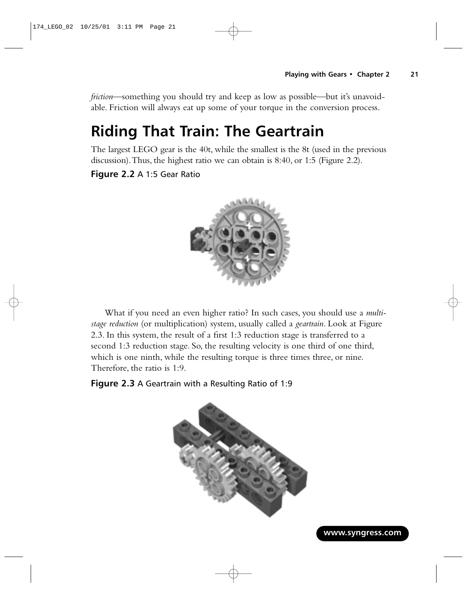*friction*—something you should try and keep as low as possible—but it's unavoidable. Friction will always eat up some of your torque in the conversion process.

## **Riding That Train: The Geartrain**

The largest LEGO gear is the 40t, while the smallest is the 8t (used in the previous discussion).Thus, the highest ratio we can obtain is 8:40, or 1:5 (Figure 2.2).

#### **Figure 2.2** A 1:5 Gear Ratio



What if you need an even higher ratio? In such cases, you should use a *multistage reduction* (or multiplication) system, usually called a *geartrain*. Look at Figure 2.3. In this system, the result of a first 1:3 reduction stage is transferred to a second 1:3 reduction stage. So, the resulting velocity is one third of one third, which is one ninth, while the resulting torque is three times three, or nine. Therefore, the ratio is 1:9.

#### **Figure 2.3** A Geartrain with a Resulting Ratio of 1:9



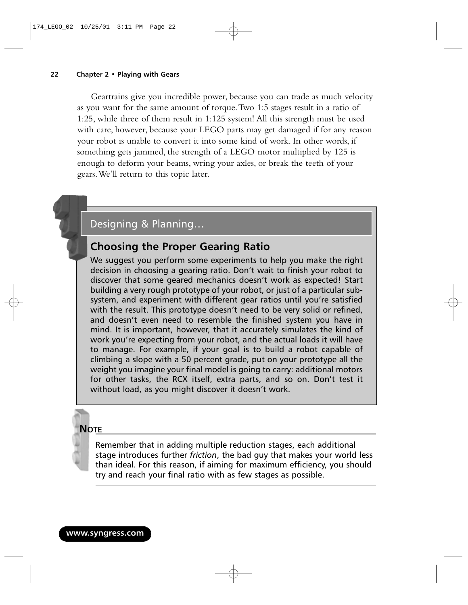Geartrains give you incredible power, because you can trade as much velocity as you want for the same amount of torque.Two 1:5 stages result in a ratio of 1:25, while three of them result in 1:125 system! All this strength must be used with care, however, because your LEGO parts may get damaged if for any reason your robot is unable to convert it into some kind of work. In other words, if something gets jammed, the strength of a LEGO motor multiplied by 125 is enough to deform your beams, wring your axles, or break the teeth of your gears.We'll return to this topic later.

### Designing & Planning…

### **Choosing the Proper Gearing Ratio**

We suggest you perform some experiments to help you make the right decision in choosing a gearing ratio. Don't wait to finish your robot to discover that some geared mechanics doesn't work as expected! Start building a very rough prototype of your robot, or just of a particular subsystem, and experiment with different gear ratios until you're satisfied with the result. This prototype doesn't need to be very solid or refined, and doesn't even need to resemble the finished system you have in mind. It is important, however, that it accurately simulates the kind of work you're expecting from your robot, and the actual loads it will have to manage. For example, if your goal is to build a robot capable of climbing a slope with a 50 percent grade, put on your prototype all the weight you imagine your final model is going to carry: additional motors for other tasks, the RCX itself, extra parts, and so on. Don't test it without load, as you might discover it doesn't work.

### **NOTE**

Remember that in adding multiple reduction stages, each additional stage introduces further *friction*, the bad guy that makes your world less than ideal. For this reason, if aiming for maximum efficiency, you should try and reach your final ratio with as few stages as possible.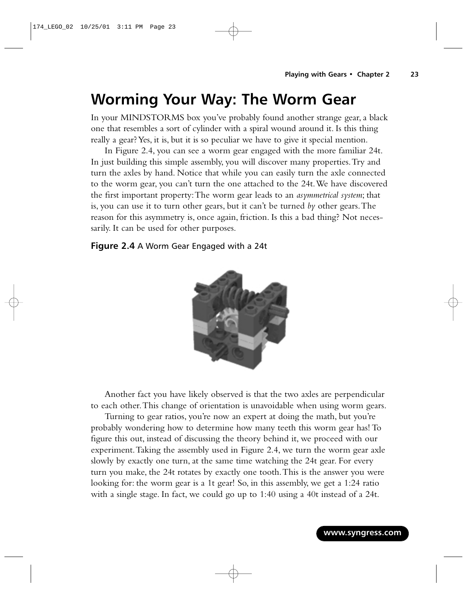## **Worming Your Way: The Worm Gear**

In your MINDSTORMS box you've probably found another strange gear, a black one that resembles a sort of cylinder with a spiral wound around it. Is this thing really a gear? Yes, it is, but it is so peculiar we have to give it special mention.

In Figure 2.4, you can see a worm gear engaged with the more familiar 24t. In just building this simple assembly, you will discover many properties.Try and turn the axles by hand. Notice that while you can easily turn the axle connected to the worm gear, you can't turn the one attached to the 24t.We have discovered the first important property:The worm gear leads to an *asymmetrical system*; that is, you can use it to turn other gears, but it can't be turned *by* other gears.The reason for this asymmetry is, once again, friction. Is this a bad thing? Not necessarily. It can be used for other purposes.

#### **Figure 2.4** A Worm Gear Engaged with a 24t



Another fact you have likely observed is that the two axles are perpendicular to each other.This change of orientation is unavoidable when using worm gears.

Turning to gear ratios, you're now an expert at doing the math, but you're probably wondering how to determine how many teeth this worm gear has! To figure this out, instead of discussing the theory behind it, we proceed with our experiment.Taking the assembly used in Figure 2.4, we turn the worm gear axle slowly by exactly one turn, at the same time watching the 24t gear. For every turn you make, the 24t rotates by exactly one tooth.This is the answer you were looking for: the worm gear is a 1t gear! So, in this assembly, we get a 1:24 ratio with a single stage. In fact, we could go up to 1:40 using a 40t instead of a 24t.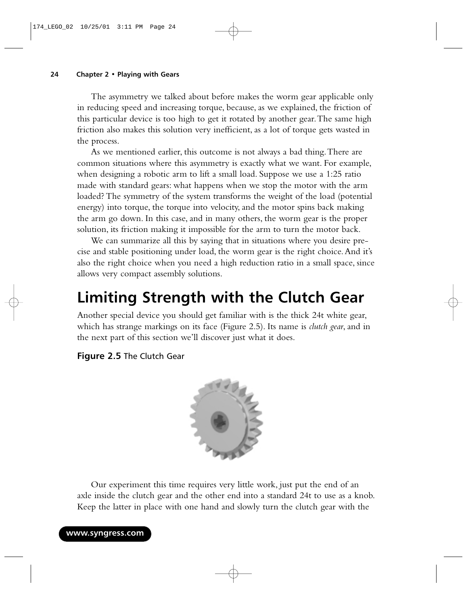The asymmetry we talked about before makes the worm gear applicable only in reducing speed and increasing torque, because, as we explained, the friction of this particular device is too high to get it rotated by another gear.The same high friction also makes this solution very inefficient, as a lot of torque gets wasted in the process.

As we mentioned earlier, this outcome is not always a bad thing.There are common situations where this asymmetry is exactly what we want. For example, when designing a robotic arm to lift a small load. Suppose we use a 1:25 ratio made with standard gears: what happens when we stop the motor with the arm loaded? The symmetry of the system transforms the weight of the load (potential energy) into torque, the torque into velocity, and the motor spins back making the arm go down. In this case, and in many others, the worm gear is the proper solution, its friction making it impossible for the arm to turn the motor back.

We can summarize all this by saying that in situations where you desire precise and stable positioning under load, the worm gear is the right choice.And it's also the right choice when you need a high reduction ratio in a small space, since allows very compact assembly solutions.

## **Limiting Strength with the Clutch Gear**

Another special device you should get familiar with is the thick 24t white gear, which has strange markings on its face (Figure 2.5). Its name is *clutch gear*, and in the next part of this section we'll discover just what it does.

**Figure 2.5** The Clutch Gear



Our experiment this time requires very little work, just put the end of an axle inside the clutch gear and the other end into a standard 24t to use as a knob. Keep the latter in place with one hand and slowly turn the clutch gear with the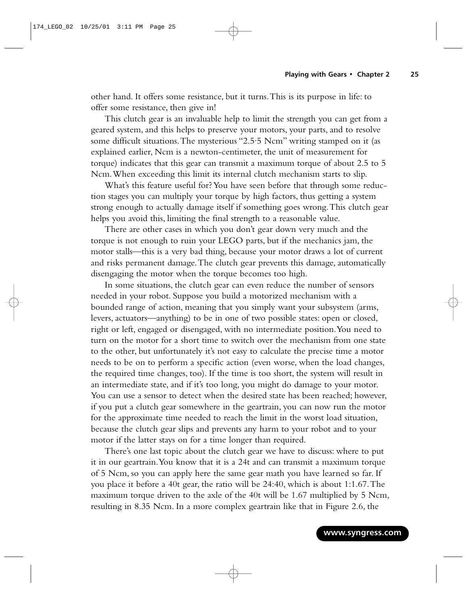other hand. It offers some resistance, but it turns.This is its purpose in life: to offer some resistance, then give in!

This clutch gear is an invaluable help to limit the strength you can get from a geared system, and this helps to preserve your motors, your parts, and to resolve some difficult situations.The mysterious "2.5·5 Ncm" writing stamped on it (as explained earlier, Ncm is a newton-centimeter, the unit of measurement for torque) indicates that this gear can transmit a maximum torque of about 2.5 to 5 Ncm.When exceeding this limit its internal clutch mechanism starts to slip.

What's this feature useful for? You have seen before that through some reduction stages you can multiply your torque by high factors, thus getting a system strong enough to actually damage itself if something goes wrong.This clutch gear helps you avoid this, limiting the final strength to a reasonable value.

There are other cases in which you don't gear down very much and the torque is not enough to ruin your LEGO parts, but if the mechanics jam, the motor stalls—this is a very bad thing, because your motor draws a lot of current and risks permanent damage.The clutch gear prevents this damage, automatically disengaging the motor when the torque becomes too high.

In some situations, the clutch gear can even reduce the number of sensors needed in your robot. Suppose you build a motorized mechanism with a bounded range of action, meaning that you simply want your subsystem (arms, levers, actuators—anything) to be in one of two possible states: open or closed, right or left, engaged or disengaged, with no intermediate position.You need to turn on the motor for a short time to switch over the mechanism from one state to the other, but unfortunately it's not easy to calculate the precise time a motor needs to be on to perform a specific action (even worse, when the load changes, the required time changes, too). If the time is too short, the system will result in an intermediate state, and if it's too long, you might do damage to your motor. You can use a sensor to detect when the desired state has been reached; however, if you put a clutch gear somewhere in the geartrain, you can now run the motor for the approximate time needed to reach the limit in the worst load situation, because the clutch gear slips and prevents any harm to your robot and to your motor if the latter stays on for a time longer than required.

There's one last topic about the clutch gear we have to discuss: where to put it in our geartrain.You know that it is a 24t and can transmit a maximum torque of 5 Ncm, so you can apply here the same gear math you have learned so far. If you place it before a 40t gear, the ratio will be 24:40, which is about 1:1.67.The maximum torque driven to the axle of the 40t will be 1.67 multiplied by 5 Ncm, resulting in 8.35 Ncm. In a more complex geartrain like that in Figure 2.6, the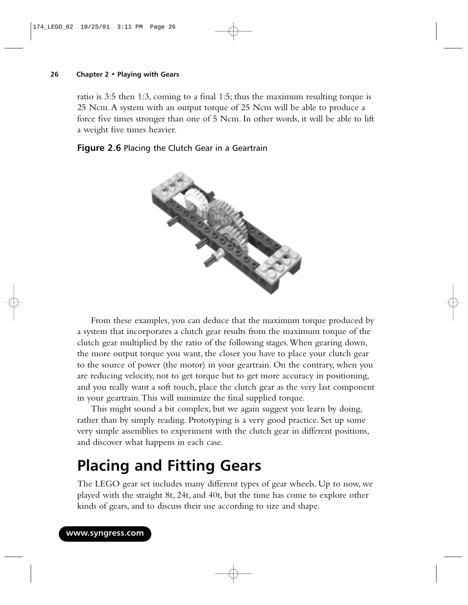ratio is 3:5 then 1:3, coming to a final 1:5; thus the maximum resulting torque is 25 Ncm.A system with an output torque of 25 Ncm will be able to produce a force five times stronger than one of 5 Ncm. In other words, it will be able to lift a weight five times heavier.

#### **Figure 2.6** Placing the Clutch Gear in a Geartrain



From these examples, you can deduce that the maximum torque produced by a system that incorporates a clutch gear results from the maximum torque of the clutch gear multiplied by the ratio of the following stages.When gearing down, the more output torque you want, the closer you have to place your clutch gear to the source of power (the motor) in your geartrain. On the contrary, when you are reducing velocity, not to get torque but to get more accuracy in positioning, and you really want a soft touch, place the clutch gear as the very last component in your geartrain.This will minimize the final supplied torque.

This might sound a bit complex, but we again suggest you learn by doing, rather than by simply reading. Prototyping is a very good practice. Set up some very simple assemblies to experiment with the clutch gear in different positions, and discover what happens in each case.

## **Placing and Fitting Gears**

The LEGO gear set includes many different types of gear wheels. Up to now, we played with the straight 8t, 24t, and 40t, but the time has come to explore other kinds of gears, and to discuss their use according to size and shape.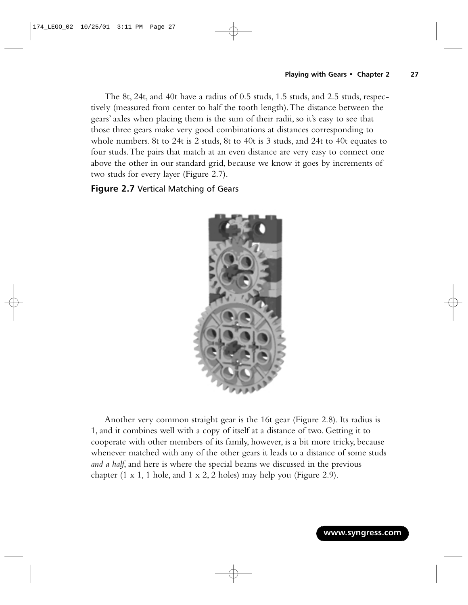The 8t, 24t, and 40t have a radius of 0.5 studs, 1.5 studs, and 2.5 studs, respectively (measured from center to half the tooth length).The distance between the gears' axles when placing them is the sum of their radii, so it's easy to see that those three gears make very good combinations at distances corresponding to whole numbers. 8t to 24t is 2 studs, 8t to 40t is 3 studs, and 24t to 40t equates to four studs.The pairs that match at an even distance are very easy to connect one above the other in our standard grid, because we know it goes by increments of two studs for every layer (Figure 2.7).

**Figure 2.7** Vertical Matching of Gears



Another very common straight gear is the 16t gear (Figure 2.8). Its radius is 1, and it combines well with a copy of itself at a distance of two. Getting it to cooperate with other members of its family, however, is a bit more tricky, because whenever matched with any of the other gears it leads to a distance of some studs *and a half*, and here is where the special beams we discussed in the previous chapter  $(1 \times 1, 1)$  hole, and  $1 \times 2, 2$  holes) may help you (Figure 2.9).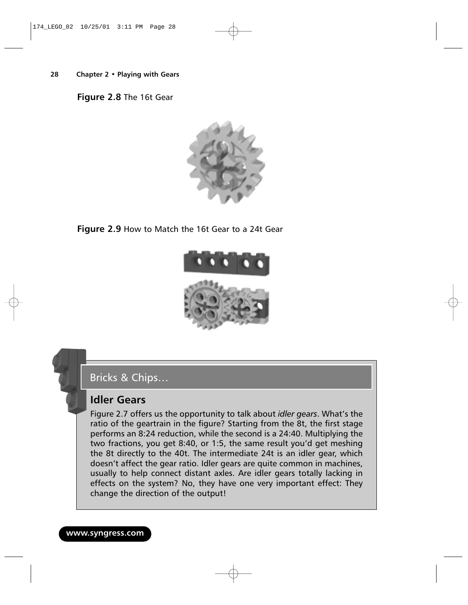**Figure 2.8** The 16t Gear



**Figure 2.9** How to Match the 16t Gear to a 24t Gear



### Bricks & Chips…

### **Idler Gears**

Figure 2.7 offers us the opportunity to talk about *idler gears*. What's the ratio of the geartrain in the figure? Starting from the 8t, the first stage performs an 8:24 reduction, while the second is a 24:40. Multiplying the two fractions, you get 8:40, or 1:5, the same result you'd get meshing the 8t directly to the 40t. The intermediate 24t is an idler gear, which doesn't affect the gear ratio. Idler gears are quite common in machines, usually to help connect distant axles. Are idler gears totally lacking in effects on the system? No, they have one very important effect: They change the direction of the output!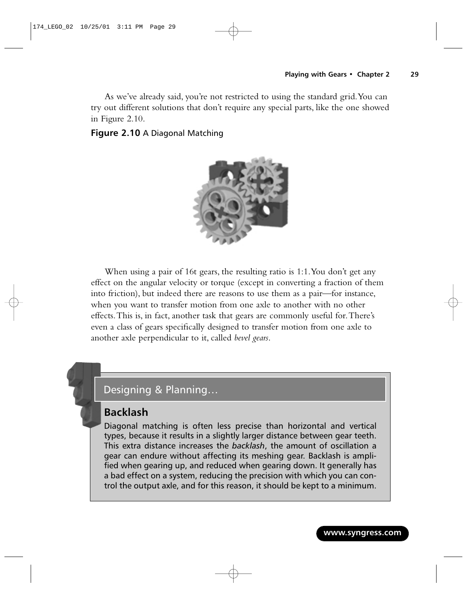As we've already said, you're not restricted to using the standard grid.You can try out different solutions that don't require any special parts, like the one showed in Figure 2.10.

#### **Figure 2.10** A Diagonal Matching



When using a pair of 16t gears, the resulting ratio is 1:1.You don't get any effect on the angular velocity or torque (except in converting a fraction of them into friction), but indeed there are reasons to use them as a pair—for instance, when you want to transfer motion from one axle to another with no other effects.This is, in fact, another task that gears are commonly useful for.There's even a class of gears specifically designed to transfer motion from one axle to another axle perpendicular to it, called *bevel gears*.

### Designing & Planning…

### **Backlash**

Diagonal matching is often less precise than horizontal and vertical types, because it results in a slightly larger distance between gear teeth. This extra distance increases the *backlash*, the amount of oscillation a gear can endure without affecting its meshing gear. Backlash is amplified when gearing up, and reduced when gearing down. It generally has a bad effect on a system, reducing the precision with which you can control the output axle, and for this reason, it should be kept to a minimum.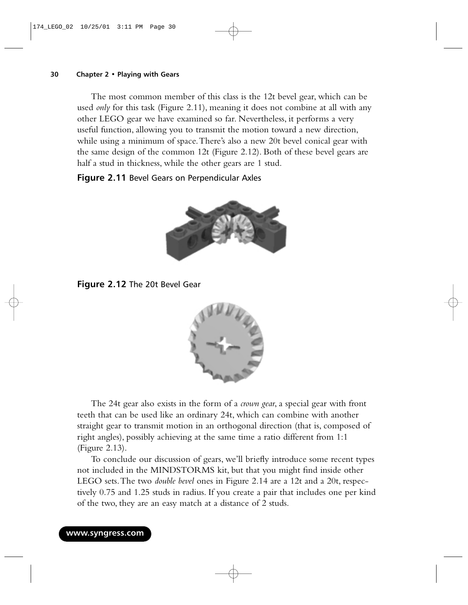The most common member of this class is the 12t bevel gear, which can be used *only* for this task (Figure 2.11), meaning it does not combine at all with any other LEGO gear we have examined so far. Nevertheless, it performs a very useful function, allowing you to transmit the motion toward a new direction, while using a minimum of space.There's also a new 20t bevel conical gear with the same design of the common 12t (Figure 2.12). Both of these bevel gears are half a stud in thickness, while the other gears are 1 stud.

**Figure 2.11** Bevel Gears on Perpendicular Axles



**Figure 2.12** The 20t Bevel Gear



The 24t gear also exists in the form of a *crown gear*, a special gear with front teeth that can be used like an ordinary 24t, which can combine with another straight gear to transmit motion in an orthogonal direction (that is, composed of right angles), possibly achieving at the same time a ratio different from 1:1 (Figure 2.13).

To conclude our discussion of gears, we'll briefly introduce some recent types not included in the MINDSTORMS kit, but that you might find inside other LEGO sets.The two *double bevel* ones in Figure 2.14 are a 12t and a 20t, respectively 0.75 and 1.25 studs in radius. If you create a pair that includes one per kind of the two, they are an easy match at a distance of 2 studs.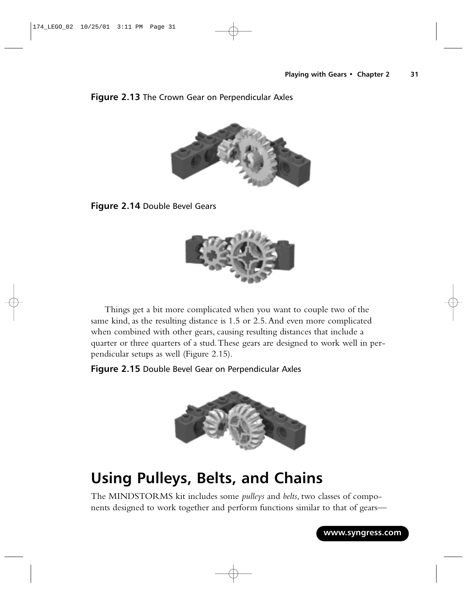#### **Figure 2.13** The Crown Gear on Perpendicular Axles



**Figure 2.14** Double Bevel Gears



Things get a bit more complicated when you want to couple two of the same kind, as the resulting distance is 1.5 or 2.5.And even more complicated when combined with other gears, causing resulting distances that include a quarter or three quarters of a stud.These gears are designed to work well in perpendicular setups as well (Figure 2.15).

**Figure 2.15** Double Bevel Gear on Perpendicular Axles



## **Using Pulleys, Belts, and Chains**

The MINDSTORMS kit includes some *pulleys* and *belts*, two classes of components designed to work together and perform functions similar to that of gears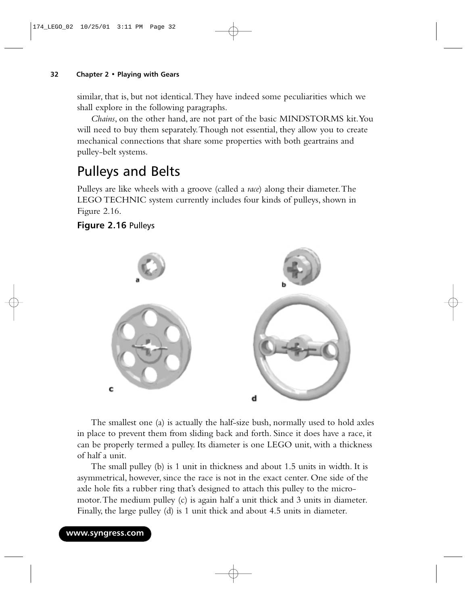similar, that is, but not identical.They have indeed some peculiarities which we shall explore in the following paragraphs.

*Chains*, on the other hand, are not part of the basic MINDSTORMS kit.You will need to buy them separately.Though not essential, they allow you to create mechanical connections that share some properties with both geartrains and pulley-belt systems.

## Pulleys and Belts

Pulleys are like wheels with a groove (called a *race*) along their diameter.The LEGO TECHNIC system currently includes four kinds of pulleys, shown in Figure 2.16.

### **Figure 2.16** Pulleys



The smallest one (a) is actually the half-size bush, normally used to hold axles in place to prevent them from sliding back and forth. Since it does have a race, it can be properly termed a pulley. Its diameter is one LEGO unit, with a thickness of half a unit.

The small pulley (b) is 1 unit in thickness and about 1.5 units in width. It is asymmetrical, however, since the race is not in the exact center. One side of the axle hole fits a rubber ring that's designed to attach this pulley to the micromotor.The medium pulley (c) is again half a unit thick and 3 units in diameter. Finally, the large pulley (d) is 1 unit thick and about 4.5 units in diameter.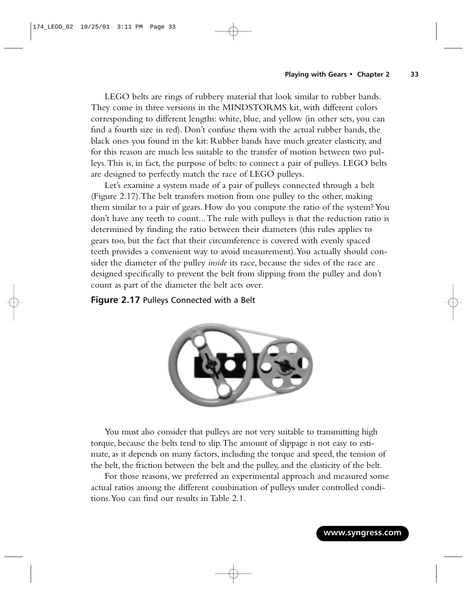LEGO belts are rings of rubbery material that look similar to rubber bands. They come in three versions in the MINDSTORMS kit, with different colors corresponding to different lengths: white, blue, and yellow (in other sets, you can find a fourth size in red). Don't confuse them with the actual rubber bands, the black ones you found in the kit: Rubber bands have much greater elasticity, and for this reason are much less suitable to the transfer of motion between two pulleys.This is, in fact, the purpose of belts: to connect a pair of pulleys. LEGO belts are designed to perfectly match the race of LEGO pulleys.

Let's examine a system made of a pair of pulleys connected through a belt (Figure 2.17).The belt transfers motion from one pulley to the other, making them similar to a pair of gears. How do you compute the ratio of the system? You don't have any teeth to count...The rule with pulleys is that the reduction ratio is determined by finding the ratio between their diameters (this rules applies to gears too, but the fact that their circumference is covered with evenly spaced teeth provides a convenient way to avoid measurement).You actually should consider the diameter of the pulley *inside* its race, because the sides of the race are designed specifically to prevent the belt from slipping from the pulley and don't count as part of the diameter the belt acts over.

#### **Figure 2.17** Pulleys Connected with a Belt



You must also consider that pulleys are not very suitable to transmitting high torque, because the belts tend to slip.The amount of slippage is not easy to estimate, as it depends on many factors, including the torque and speed, the tension of the belt, the friction between the belt and the pulley, and the elasticity of the belt.

For those reasons, we preferred an experimental approach and measured some actual ratios among the different combination of pulleys under controlled conditions.You can find our results in Table 2.1.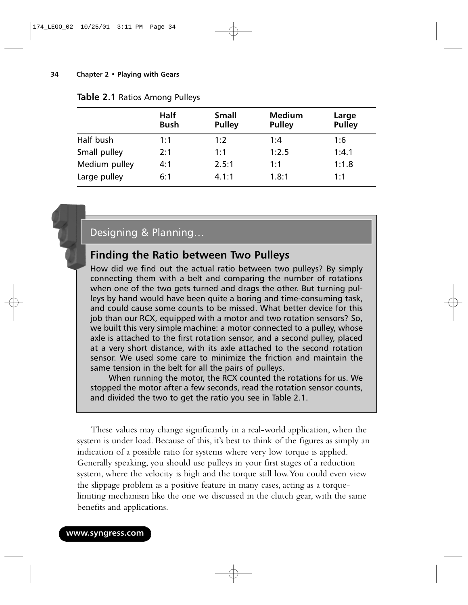|               | <b>Half</b><br><b>Bush</b> | <b>Small</b><br><b>Pulley</b> | <b>Medium</b><br><b>Pulley</b> | Large<br><b>Pulley</b> |
|---------------|----------------------------|-------------------------------|--------------------------------|------------------------|
| Half bush     | 1:1                        | 1:2                           | 1:4                            | 1:6                    |
| Small pulley  | 2:1                        | 1:1                           | 1:2.5                          | 1:4.1                  |
| Medium pulley | 4:1                        | 2.5:1                         | 1:1                            | 1:1.8                  |
| Large pulley  | 6:1                        | 4.1:1                         | 1.8:1                          | 1:1                    |

#### **Table 2.1** Ratios Among Pulleys

### Designing & Planning…

#### **Finding the Ratio between Two Pulleys**

How did we find out the actual ratio between two pulleys? By simply connecting them with a belt and comparing the number of rotations when one of the two gets turned and drags the other. But turning pulleys by hand would have been quite a boring and time-consuming task, and could cause some counts to be missed. What better device for this job than our RCX, equipped with a motor and two rotation sensors? So, we built this very simple machine: a motor connected to a pulley, whose axle is attached to the first rotation sensor, and a second pulley, placed at a very short distance, with its axle attached to the second rotation sensor. We used some care to minimize the friction and maintain the same tension in the belt for all the pairs of pulleys.

When running the motor, the RCX counted the rotations for us. We stopped the motor after a few seconds, read the rotation sensor counts, and divided the two to get the ratio you see in Table 2.1.

These values may change significantly in a real-world application, when the system is under load. Because of this, it's best to think of the figures as simply an indication of a possible ratio for systems where very low torque is applied. Generally speaking, you should use pulleys in your first stages of a reduction system, where the velocity is high and the torque still low.You could even view the slippage problem as a positive feature in many cases, acting as a torquelimiting mechanism like the one we discussed in the clutch gear, with the same benefits and applications.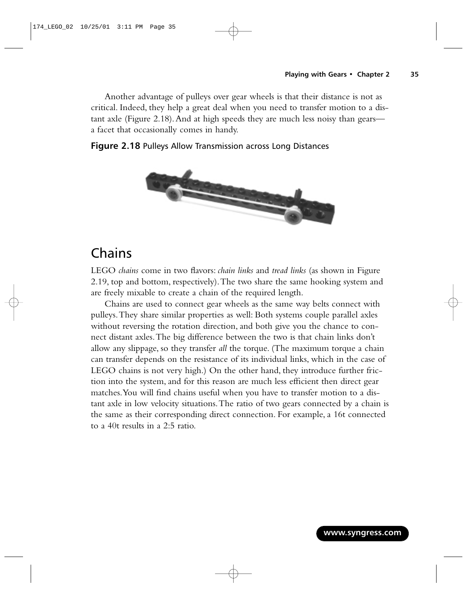Another advantage of pulleys over gear wheels is that their distance is not as critical. Indeed, they help a great deal when you need to transfer motion to a distant axle (Figure 2.18).And at high speeds they are much less noisy than gears a facet that occasionally comes in handy.



#### **Figure 2.18** Pulleys Allow Transmission across Long Distances

### Chains

LEGO *chains* come in two flavors: *chain links* and *tread links* (as shown in Figure 2.19, top and bottom, respectively).The two share the same hooking system and are freely mixable to create a chain of the required length.

Chains are used to connect gear wheels as the same way belts connect with pulleys.They share similar properties as well: Both systems couple parallel axles without reversing the rotation direction, and both give you the chance to connect distant axles.The big difference between the two is that chain links don't allow any slippage, so they transfer *all* the torque. (The maximum torque a chain can transfer depends on the resistance of its individual links, which in the case of LEGO chains is not very high.) On the other hand, they introduce further friction into the system, and for this reason are much less efficient then direct gear matches.You will find chains useful when you have to transfer motion to a distant axle in low velocity situations.The ratio of two gears connected by a chain is the same as their corresponding direct connection. For example, a 16t connected to a 40t results in a 2:5 ratio.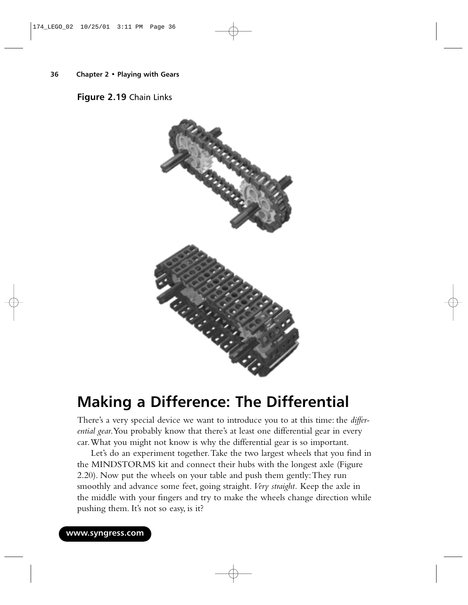#### **Figure 2.19** Chain Links



## **Making a Difference: The Differential**

There's a very special device we want to introduce you to at this time: the *differential gear*.You probably know that there's at least one differential gear in every car.What you might not know is why the differential gear is so important.

Let's do an experiment together.Take the two largest wheels that you find in the MINDSTORMS kit and connect their hubs with the longest axle (Figure 2.20). Now put the wheels on your table and push them gently:They run smoothly and advance some feet, going straight.*Very straight.* Keep the axle in the middle with your fingers and try to make the wheels change direction while pushing them. It's not so easy, is it?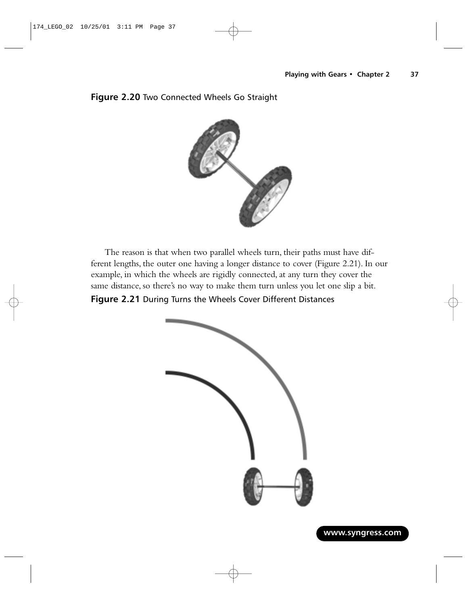



The reason is that when two parallel wheels turn, their paths must have different lengths, the outer one having a longer distance to cover (Figure 2.21). In our example, in which the wheels are rigidly connected, at any turn they cover the same distance, so there's no way to make them turn unless you let one slip a bit.



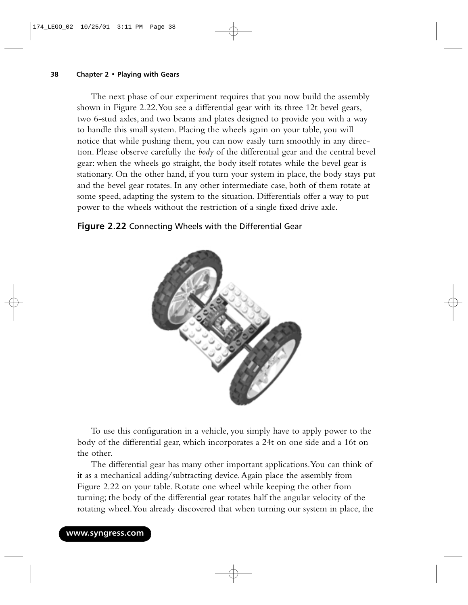The next phase of our experiment requires that you now build the assembly shown in Figure 2.22.You see a differential gear with its three 12t bevel gears, two 6-stud axles, and two beams and plates designed to provide you with a way to handle this small system. Placing the wheels again on your table, you will notice that while pushing them, you can now easily turn smoothly in any direction. Please observe carefully the *body* of the differential gear and the central bevel gear: when the wheels go straight, the body itself rotates while the bevel gear is stationary. On the other hand, if you turn your system in place, the body stays put and the bevel gear rotates. In any other intermediate case, both of them rotate at some speed, adapting the system to the situation. Differentials offer a way to put power to the wheels without the restriction of a single fixed drive axle.

#### **Figure 2.22** Connecting Wheels with the Differential Gear



To use this configuration in a vehicle, you simply have to apply power to the body of the differential gear, which incorporates a 24t on one side and a 16t on the other.

The differential gear has many other important applications.You can think of it as a mechanical adding/subtracting device.Again place the assembly from Figure 2.22 on your table. Rotate one wheel while keeping the other from turning; the body of the differential gear rotates half the angular velocity of the rotating wheel.You already discovered that when turning our system in place, the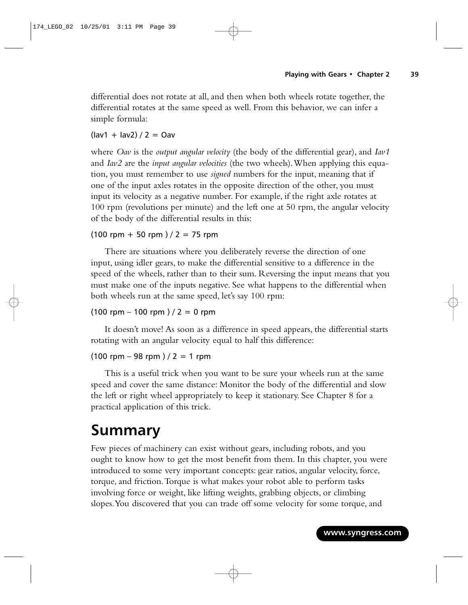differential does not rotate at all, and then when both wheels rotate together, the differential rotates at the same speed as well. From this behavior, we can infer a simple formula:

 $(lav1 + lav2)/2 = Oav$ 

where *Oav* is the *output angular velocity* (the body of the differential gear), and *Iav1* and *Iav2* are the *input angular velocities* (the two wheels).When applying this equation, you must remember to use *signed* numbers for the input, meaning that if one of the input axles rotates in the opposite direction of the other, you must input its velocity as a negative number. For example, if the right axle rotates at 100 rpm (revolutions per minute) and the left one at 50 rpm, the angular velocity of the body of the differential results in this:

#### $(100$  rpm + 50 rpm  $)/2 = 75$  rpm

There are situations where you deliberately reverse the direction of one input, using idler gears, to make the differential sensitive to a difference in the speed of the wheels, rather than to their sum. Reversing the input means that you must make one of the inputs negative. See what happens to the differential when both wheels run at the same speed, let's say 100 rpm:

```
(100 rpm - 100 rpm )/2 = 0 rpm
```
It doesn't move! As soon as a difference in speed appears, the differential starts rotating with an angular velocity equal to half this difference:

#### $(100$  rpm – 98 rpm  $)/2 = 1$  rpm

This is a useful trick when you want to be sure your wheels run at the same speed and cover the same distance: Monitor the body of the differential and slow the left or right wheel appropriately to keep it stationary. See Chapter 8 for a practical application of this trick.

## **Summary**

Few pieces of machinery can exist without gears, including robots, and you ought to know how to get the most benefit from them. In this chapter, you were introduced to some very important concepts: gear ratios, angular velocity, force, torque, and friction.Torque is what makes your robot able to perform tasks involving force or weight, like lifting weights, grabbing objects, or climbing slopes.You discovered that you can trade off some velocity for some torque, and